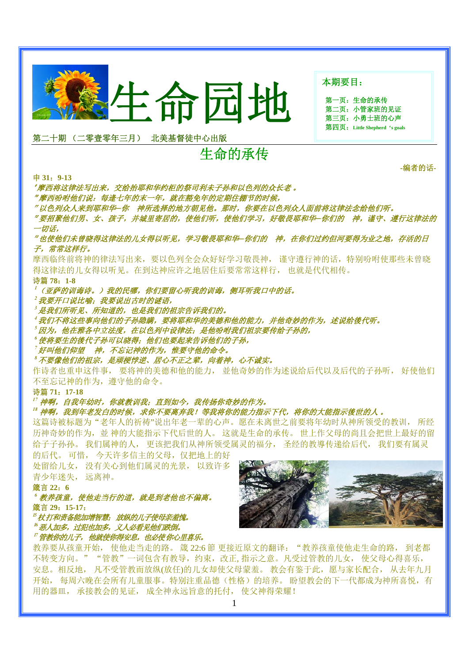

本期要目:

第一页:生命的承传第二页:小管家班的见证 第三页:小勇士班的心声 第四页:**Little Shepherd**'**s goals** 

第二十期 (二零壹零年三月)北美基督徒中心出版

# 生命的承传 **-**编者的话**-**

申 **31**:**9-13** 

9 摩西将这律法写出来,交给抬耶和华约柜的祭司利未子孙和以色列的众长老 。

"摩西吩咐他们说:每逢七年的末一年,就在豁免年的定期住棚节的时候,

*" 以色列众人来到耶和华─你 神所选择的地方朝见他。那时,你要在以色列众人面前将这律法念给他们听。* 

 12 要招聚他们男、女、孩子,并城里寄居的,使他们听,使他们学习,好敬畏耶和华*─*你们的 神,谨守、遵行这律法的 一切话,

"也使他们未曾晓得这律法的儿女得以听见,学习敬畏耶和华─你们的 神,在你们过约但河要得为业之地,存活的日 子,常常这样行。

摩西临终前将神的律法写出来,要以色列全会众好好学习敬畏神, 谨守遵行神的话,特别吩咐使那些未曾晓 得这律法的儿女得以听见。在到达神应许之地居住后要常常这样行, 也就是代代相传。

诗篇 **78**:**1-8** 

<sup>1</sup>(亚萨的训诲诗。)我的民哪,你们要留心听我的训诲,侧耳听我口中的话。

 $^{2}$ 我要开口说比喻;我要说出古时的谜语,

 $^3$ 是我们所听见、所知道的,也是我们的祖宗告诉我们的。

*<sup>4</sup>*我们不将这些事向他们的子孙隐瞒,要将耶和华的美德和他的能力,并他奇妙的作为,述说给後代听。

<sup>5</sup>因为,他在雅各中立法度,在以色列中设律法;是他吩咐我们祖宗要传给子孙的,

*<sup>6</sup>*使将要生的後代子孙可以晓得;他们也要起来告诉他们的子孙,

*<sup>7</sup>*好叫他们仰望 神,不忘记神的作为,惟要守他的命令。

#### $^{\textit{8}}$ *不要像他们的祖宗,是顽梗悖逆、居心不正之辈,向着神,心不诚实。*

作诗者也重申这件事, 要将神的美德和他的能力, 並他奇妙的作为述说给后代以及后代的子孙听, 好使他们 不至忘记神的作为,遵守他的命令。

#### 诗篇 **71**:**17-18**

### <sup>17</sup> 神啊,自我年幼时,你就教训我;直到如今,我传扬你奇妙的作为。

### <sup>18</sup> 神啊,我到年老发白的时候,求你不要离弃我!等我将你的能力指示下代,将你的大能指示後世的人 。

这篇诗被标题为"老年人的祈祷"说出年老一辈的心声。愿在未离世之前要将年幼时从神所领受的教训, 所经 历神奇妙的作为,並 神的大能指示下代后世的人。 这就是生命的承传。 世上作父母的尚且会把世上最好的留 给子子孙孙。 我们属神的人, 更该把我们从神所领受属灵的福分, 圣经的教導传递给后代, 我们要有属灵

的后代。 可惜, 今天许多信主的父母,仅把地上的好 处留给儿女, 没有关心到他们属灵的光景, 以致许多 青少年迷失, 远离神。

箴言 **22**:**6** 

 $^{\rm 6}$ *教养孩童,使他走当行的道,就是到老他也不偏离。* 箴言 **29**:**15-17**:

<sup>15</sup>杖打和责备能加增智慧;放纵的儿子使母亲羞愧。 *<sup>16</sup>*恶人加多,过犯也加多,义人必看见他们跌倒。

<sup>17</sup>管教你的儿子,他就使你得安息,也必使你心里喜乐。



教养要从孩童开始, 使他走当走的路。 箴 22:6 節 更接近原文的翻译: "教养孩童使他走生命的路, 到老都 不转变方向。" "管教"一词包含有教导,约束,改正, 指示之意。凡受过管教的儿女, 使父母心得喜乐, 安息。相反地, 凡不受管教而放纵(放任)的儿女却使父母蒙羞。 教会有鉴于此, 愿与家长配合, 从去年九月 开始, 每周六晚在会所有儿童服事。特别注重品德(性格)的培养。 盼望教会的下一代都成为神所喜悦,有 用的器皿, 承接教会的见证, 成全神永远旨意的托付, 使父神得荣耀!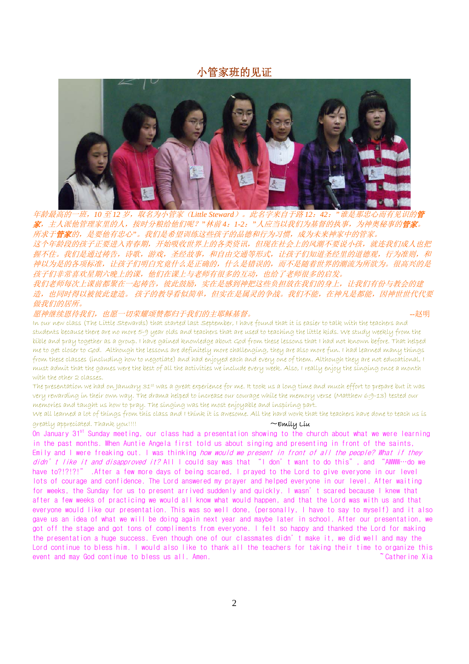## 小管家班的见证



年龄最高的一班,*10* 至 *12* 岁,取名为小管家(*Little Steward*)。此名字来自于路 *12*:*42*:*"*谁是那忠心而有见识的管 家,主人派他管理家里的人,按时分粮给他们呢?*"*林前 *4*:*1-2*:*"*人应当以我们为基督的执事,为神奥秘事的管家。 所求于管家的,是要他有忠心*"*。我们是希望训练这些孩子的品德和行为习惯,成为未来神家中的管家。

这个年龄段的孩子正要进入青春期,开始吸收世界上的各类资讯,但现在社会上的风潮不要说小孩,就连我们成人也把 握不住。我们是通过祷告,诗歌,游戏,圣经故事,和自由交通等形式,让孩子们知道圣经里的道德观,行为准则,和 神以为是的各项标准,让孩子们明白究竟什么是正确的,什么是错误的,而不是随着世界的潮流为所欲为。很高兴的是 孩子们非常喜欢星期六晚上的课,他们在课上与老师有很多的互动,也给了老师很多的启发。

我们老师每次上课前都聚在一起祷告,彼此鼓励,实在是感到神把这些负担放在我们的身上,让我们有份与教会的建 造,也同时得以被彼此建造。 孩子的教导看似简单,但实在是属灵的争战。我们不能,在神凡是都能,因神世世代代要 做我们的居所。

#### 愿神继续恩待我们,也愿一切荣耀颂赞都归于我们的主耶稣基督。 --赵明

In our new class (The Little Stewards) that started last September, I have found that it is easier to talk with the teachers and students because there are no more 5-9 year olds and teachers that are used to teaching the little kids. We study weekly from the bible and pray together as a group. I have gained knowledge about God from these lessons that I had not known before. That helped me to get closer to God. Although the lessons are definitely more challenging, they are also more fun. I had learned many things from these classes (including how to negotiate) and had enjoyed each and every one of them. Although they are not educational, I must admit that the games were the best of all the activities we include every week. Also, I really enjoy the singing once a month with the other 2 classes.

The presentation we had on January 31st was a great experience for me. It took us a long time and much effort to prepare but it was very rewarding in their own way. The drama helped to increase our courage while the memory verse (Matthew 6:9-13) tested our memories and taught us how to pray. The singing was the most enjoyable and inspiring part. We all learned a lot of things from this class and I think it is awesome. All the hard work that the teachers have done to teach us is

#### $greately$  appreciated. Thank you!!!!  $\sim$ Emily Liu

On January 31<sup>st</sup> Sunday meeting, our class had a presentation showing to the church about what we were learning in the past months. When Auntie Angela first told us about singing and presenting in front of the saints, Emily and I were freaking out. I was thinking how would we present in front of all the people? What if they didn't like it and disapproved it? All I could say was that "I don't want to do this", and "AWWW…do we have to?!?!?!" .After a few more days of being scared, I prayed to the Lord to give everyone in our level lots of courage and confidence. The Lord answered my prayer and helped everyone in our level. After waiting for weeks, the Sunday for us to present arrived suddenly and quickly. I wasn't scared because I knew that after a few weeks of practicing we would all know what would happen, and that the Lord was with us and that everyone would like our presentation. This was so well done, (personally, I have to say to myself) and it also gave us an idea of what we will be doing again next year and maybe later in school. After our presentation, we got off the stage and got tons of compliments from everyone. I felt so happy and thanked the Lord for making the presentation a huge success. Even though one of our classmates didn't make it, we did well and may the Lord continue to bless him. I would also like to thank all the teachers for taking their time to organize this event and may God continue to bless us all. Amen.  $\tilde{\phantom{a}}$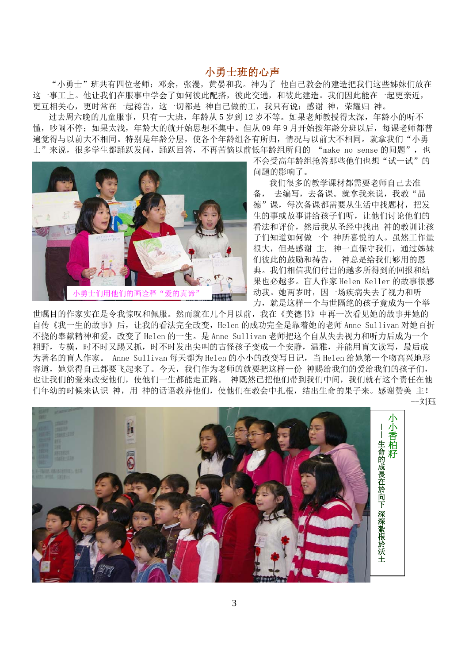### 小勇士班的心声

"小勇士"班共有四位老师:邓余,张漫,黄晏和我。神为了 他自己教会的建造把我们这些姊妹们放在 这一事工上。他让我们在服事中学会了如何彼此配搭,彼此交通,和彼此建造。我们因此能在一起更亲近, 更互相关心,更时常在一起祷告,这一切都是 神自己做的工,我只有说:感谢 神,荣耀归 神。

过去周六晚的儿童服事,只有一大班,年龄从 5 岁到 12 岁不等。如果老师教授得太深,年龄小的听不 懂,吵闹不停;如果太浅,年龄大的就开始思想不集中。但从 09 年 9 月开始按年龄分班以后,每课老师都普 遍觉得与以前大不相同。特别是年龄分层,使各个年龄组各有所归,情况与以前大不相同。就拿我们"小勇 士"来说,很多学生都踊跃发问,踊跃回答,不再苦恼以前低年龄组所问的 "make no sense 的问题",也



不会受高年龄组抢答那些他们也想"试一试"的 问题的影响了。

我们很多的教学课材都需要老师自己去准 备, 去编写,去备课。就拿我来说,我教"品 德"课,每次备课都需要从生活中找题材,把发 生的事或故事讲给孩子们听,让他们讨论他们的 看法和评价,然后我从圣经中找出 神的教训让孩 子们知道如何做一个 神所喜悦的人。虽然工作量 很大,但是感谢 主, 神一直保守我们,通过姊妹 们彼此的鼓励和祷告, 神总是给我们够用的恩 典。我们相信我们付出的越多所得到的回报和结 果也必越多。盲人作家 Helen Keller 的故事很感 动我。她两岁时,因一场疾病失去了视力和听 力,就是这样一个与世隔绝的孩子竟成为一个举

世瞩目的作家实在是令我惊叹和佩服。然而就在几个月以前,我在《美德书》中再一次看见她的故事并她的 自传《我一生的故事》后,让我的看法完全改变,Helen 的成功完全是靠着她的老师 Anne Sullivan 对她百折 不挠的奉献精神和爱,改变了 Helen 的一生。是 Anne Sullivan 老师把这个自从失去视力和听力后成为一个 粗野,专横,时不时又踢又抓,时不时发出尖叫的古怪孩子变成一个安静,温雅,并能用盲文读写,最后成 为著名的盲人作家。 Anne Sullivan 每天都为 Helen 的小小的改变写日记, 当 Helen 给她第一个吻高兴地形 容道,她觉得自己都要飞起来了。今天,我们作为老师的就要把这样一份 神赐给我们的爱给我们的孩子们, 也让我们的爱来改变他们,使他们一生都能走正路。 神既然已把他们带到我们中间,我们就有这个责任在他 们年幼的时候来认识 神,用 神的话语教养他们,使他们在教会中扎根,结出生命的果子来。感谢赞美主!

--刘珏